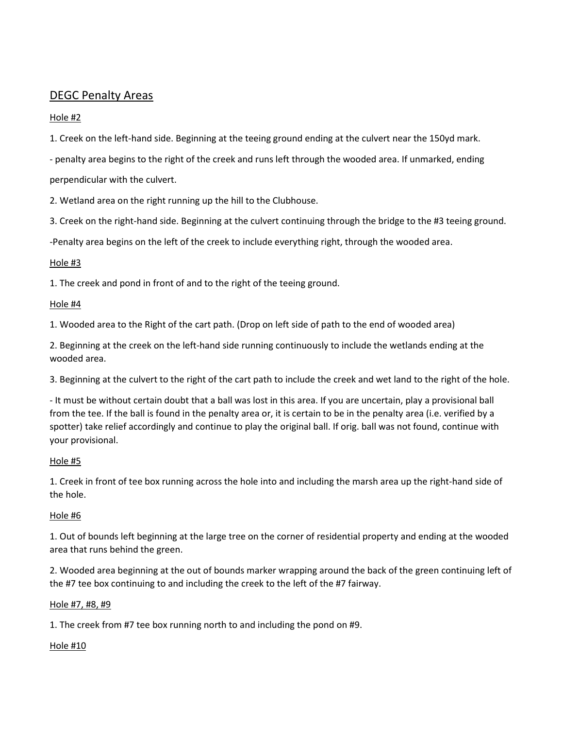## DEGC Penalty Areas

## Hole #2

1. Creek on the left-hand side. Beginning at the teeing ground ending at the culvert near the 150yd mark.

- penalty area begins to the right of the creek and runs left through the wooded area. If unmarked, ending perpendicular with the culvert.

2. Wetland area on the right running up the hill to the Clubhouse.

3. Creek on the right-hand side. Beginning at the culvert continuing through the bridge to the #3 teeing ground.

-Penalty area begins on the left of the creek to include everything right, through the wooded area.

## Hole #3

1. The creek and pond in front of and to the right of the teeing ground.

## Hole #4

1. Wooded area to the Right of the cart path. (Drop on left side of path to the end of wooded area)

2. Beginning at the creek on the left-hand side running continuously to include the wetlands ending at the wooded area.

3. Beginning at the culvert to the right of the cart path to include the creek and wet land to the right of the hole.

- It must be without certain doubt that a ball was lost in this area. If you are uncertain, play a provisional ball from the tee. If the ball is found in the penalty area or, it is certain to be in the penalty area (i.e. verified by a spotter) take relief accordingly and continue to play the original ball. If orig. ball was not found, continue with your provisional.

## Hole #5

1. Creek in front of tee box running across the hole into and including the marsh area up the right-hand side of the hole.

## Hole #6

1. Out of bounds left beginning at the large tree on the corner of residential property and ending at the wooded area that runs behind the green.

2. Wooded area beginning at the out of bounds marker wrapping around the back of the green continuing left of the #7 tee box continuing to and including the creek to the left of the #7 fairway.

## Hole #7, #8, #9

1. The creek from #7 tee box running north to and including the pond on #9.

## Hole #10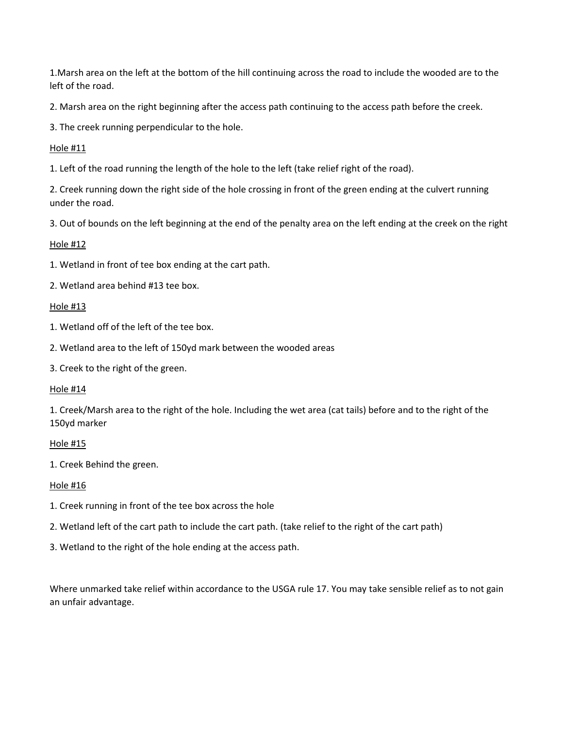1.Marsh area on the left at the bottom of the hill continuing across the road to include the wooded are to the left of the road.

2. Marsh area on the right beginning after the access path continuing to the access path before the creek.

3. The creek running perpendicular to the hole.

Hole #11

1. Left of the road running the length of the hole to the left (take relief right of the road).

2. Creek running down the right side of the hole crossing in front of the green ending at the culvert running under the road.

3. Out of bounds on the left beginning at the end of the penalty area on the left ending at the creek on the right

#### Hole #12

1. Wetland in front of tee box ending at the cart path.

2. Wetland area behind #13 tee box.

#### Hole #13

1. Wetland off of the left of the tee box.

2. Wetland area to the left of 150yd mark between the wooded areas

3. Creek to the right of the green.

#### Hole #14

1. Creek/Marsh area to the right of the hole. Including the wet area (cat tails) before and to the right of the 150yd marker

## Hole #15

1. Creek Behind the green.

## Hole #16

- 1. Creek running in front of the tee box across the hole
- 2. Wetland left of the cart path to include the cart path. (take relief to the right of the cart path)
- 3. Wetland to the right of the hole ending at the access path.

Where unmarked take relief within accordance to the USGA rule 17. You may take sensible relief as to not gain an unfair advantage.